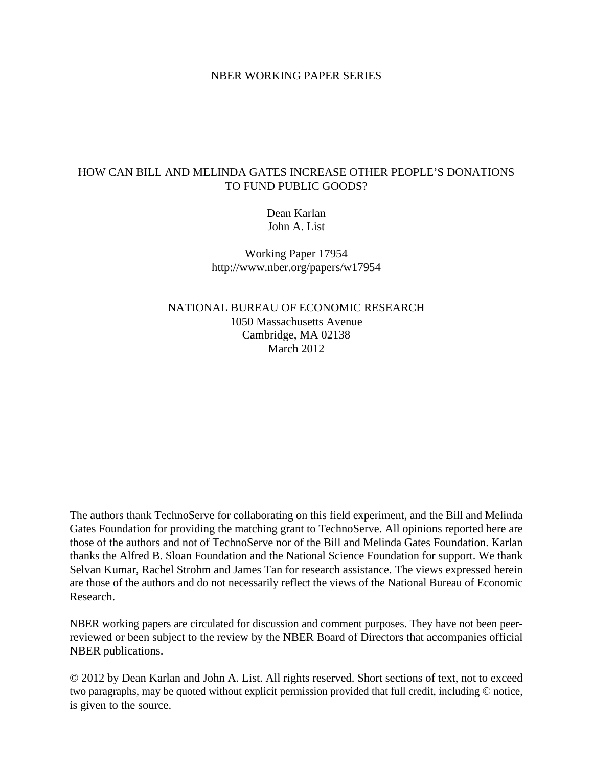#### NBER WORKING PAPER SERIES

### HOW CAN BILL AND MELINDA GATES INCREASE OTHER PEOPLE'S DONATIONS TO FUND PUBLIC GOODS?

Dean Karlan John A. List

Working Paper 17954 http://www.nber.org/papers/w17954

NATIONAL BUREAU OF ECONOMIC RESEARCH 1050 Massachusetts Avenue Cambridge, MA 02138 March 2012

The authors thank TechnoServe for collaborating on this field experiment, and the Bill and Melinda Gates Foundation for providing the matching grant to TechnoServe. All opinions reported here are those of the authors and not of TechnoServe nor of the Bill and Melinda Gates Foundation. Karlan thanks the Alfred B. Sloan Foundation and the National Science Foundation for support. We thank Selvan Kumar, Rachel Strohm and James Tan for research assistance. The views expressed herein are those of the authors and do not necessarily reflect the views of the National Bureau of Economic Research.

NBER working papers are circulated for discussion and comment purposes. They have not been peerreviewed or been subject to the review by the NBER Board of Directors that accompanies official NBER publications.

© 2012 by Dean Karlan and John A. List. All rights reserved. Short sections of text, not to exceed two paragraphs, may be quoted without explicit permission provided that full credit, including © notice, is given to the source.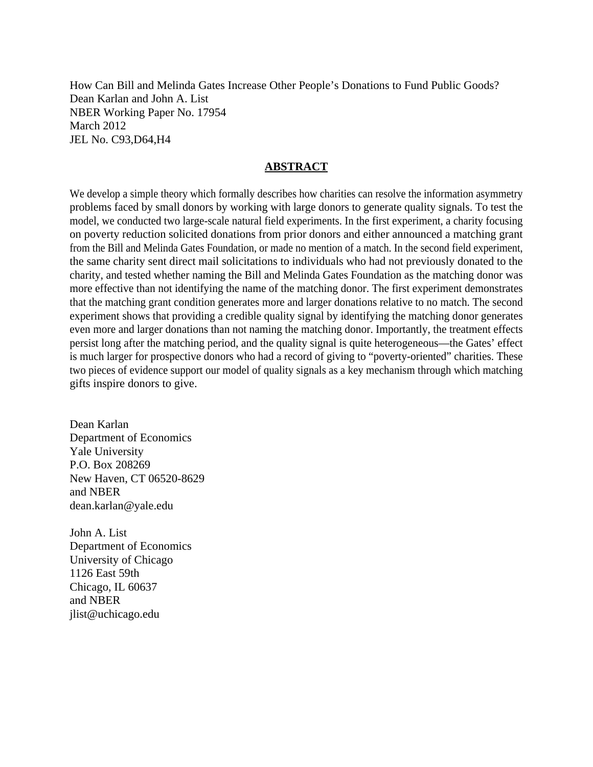How Can Bill and Melinda Gates Increase Other People's Donations to Fund Public Goods? Dean Karlan and John A. List NBER Working Paper No. 17954 March 2012 JEL No. C93,D64,H4

#### **ABSTRACT**

We develop a simple theory which formally describes how charities can resolve the information asymmetry problems faced by small donors by working with large donors to generate quality signals. To test the model, we conducted two large-scale natural field experiments. In the first experiment, a charity focusing on poverty reduction solicited donations from prior donors and either announced a matching grant from the Bill and Melinda Gates Foundation, or made no mention of a match. In the second field experiment, the same charity sent direct mail solicitations to individuals who had not previously donated to the charity, and tested whether naming the Bill and Melinda Gates Foundation as the matching donor was more effective than not identifying the name of the matching donor. The first experiment demonstrates that the matching grant condition generates more and larger donations relative to no match. The second experiment shows that providing a credible quality signal by identifying the matching donor generates even more and larger donations than not naming the matching donor. Importantly, the treatment effects persist long after the matching period, and the quality signal is quite heterogeneous—the Gates' effect is much larger for prospective donors who had a record of giving to "poverty-oriented" charities. These two pieces of evidence support our model of quality signals as a key mechanism through which matching gifts inspire donors to give.

Dean Karlan Department of Economics Yale University P.O. Box 208269 New Haven, CT 06520-8629 and NBER dean.karlan@yale.edu

John A. List Department of Economics University of Chicago 1126 East 59th Chicago, IL 60637 and NBER jlist@uchicago.edu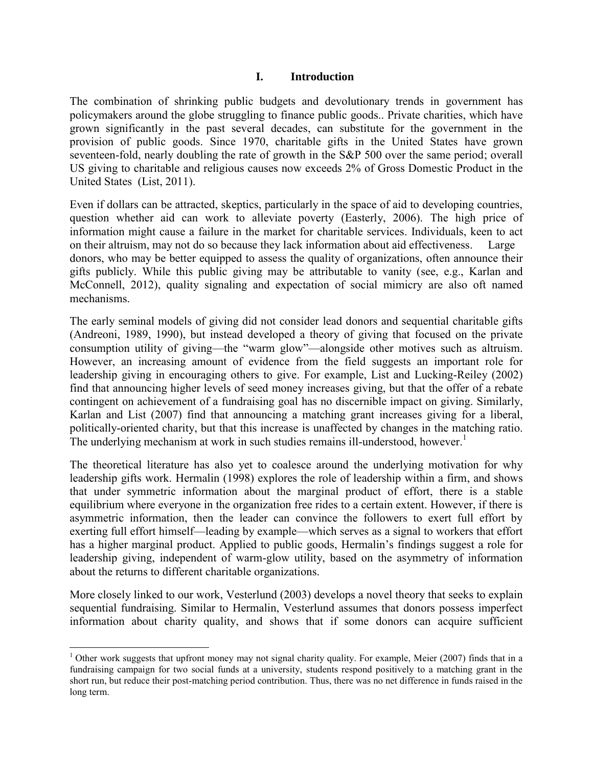#### **I. Introduction**

The combination of shrinking public budgets and devolutionary trends in government has policymakers around the globe struggling to finance public goods.. Private charities, which have grown significantly in the past several decades, can substitute for the government in the provision of public goods. Since 1970, charitable gifts in the United States have grown seventeen-fold, nearly doubling the rate of growth in the S&P 500 over the same period; overall US giving to charitable and religious causes now exceeds 2% of Gross Domestic Product in the United States (List, 2011).

Even if dollars can be attracted, skeptics, particularly in the space of aid to developing countries, question whether aid can work to alleviate poverty (Easterly, 2006). The high price of information might cause a failure in the market for charitable services. Individuals, keen to act on their altruism, may not do so because they lack information about aid effectiveness. Large donors, who may be better equipped to assess the quality of organizations, often announce their gifts publicly. While this public giving may be attributable to vanity (see, e.g., Karlan and McConnell, 2012), quality signaling and expectation of social mimicry are also oft named mechanisms.

The early seminal models of giving did not consider lead donors and sequential charitable gifts (Andreoni, 1989, 1990), but instead developed a theory of giving that focused on the private consumption utility of giving—the "warm glow"—alongside other motives such as altruism. However, an increasing amount of evidence from the field suggests an important role for leadership giving in encouraging others to give. For example, List and Lucking-Reiley (2002) find that announcing higher levels of seed money increases giving, but that the offer of a rebate contingent on achievement of a fundraising goal has no discernible impact on giving. Similarly, Karlan and List (2007) find that announcing a matching grant increases giving for a liberal, politically-oriented charity, but that this increase is unaffected by changes in the matching ratio. The underlying mechanism at work in such studies remains ill-understood, however.<sup>1</sup>

The theoretical literature has also yet to coalesce around the underlying motivation for why leadership gifts work. Hermalin (1998) explores the role of leadership within a firm, and shows that under symmetric information about the marginal product of effort, there is a stable equilibrium where everyone in the organization free rides to a certain extent. However, if there is asymmetric information, then the leader can convince the followers to exert full effort by exerting full effort himself—leading by example—which serves as a signal to workers that effort has a higher marginal product. Applied to public goods, Hermalin's findings suggest a role for leadership giving, independent of warm-glow utility, based on the asymmetry of information about the returns to different charitable organizations.

More closely linked to our work, Vesterlund (2003) develops a novel theory that seeks to explain sequential fundraising. Similar to Hermalin, Vesterlund assumes that donors possess imperfect information about charity quality, and shows that if some donors can acquire sufficient

 $\overline{\phantom{a}}$ 

<sup>&</sup>lt;sup>1</sup> Other work suggests that upfront money may not signal charity quality. For example, Meier (2007) finds that in a fundraising campaign for two social funds at a university, students respond positively to a matching grant in the short run, but reduce their post-matching period contribution. Thus, there was no net difference in funds raised in the long term.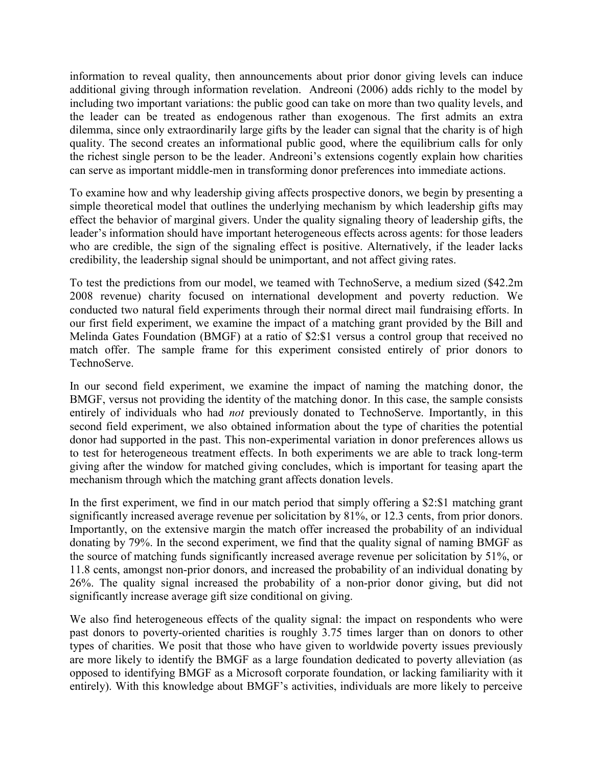information to reveal quality, then announcements about prior donor giving levels can induce additional giving through information revelation. Andreoni (2006) adds richly to the model by including two important variations: the public good can take on more than two quality levels, and the leader can be treated as endogenous rather than exogenous. The first admits an extra dilemma, since only extraordinarily large gifts by the leader can signal that the charity is of high quality. The second creates an informational public good, where the equilibrium calls for only the richest single person to be the leader. Andreoni's extensions cogently explain how charities can serve as important middle-men in transforming donor preferences into immediate actions.

To examine how and why leadership giving affects prospective donors, we begin by presenting a simple theoretical model that outlines the underlying mechanism by which leadership gifts may effect the behavior of marginal givers. Under the quality signaling theory of leadership gifts, the leader's information should have important heterogeneous effects across agents: for those leaders who are credible, the sign of the signaling effect is positive. Alternatively, if the leader lacks credibility, the leadership signal should be unimportant, and not affect giving rates.

To test the predictions from our model, we teamed with TechnoServe, a medium sized (\$42.2m 2008 revenue) charity focused on international development and poverty reduction. We conducted two natural field experiments through their normal direct mail fundraising efforts. In our first field experiment, we examine the impact of a matching grant provided by the Bill and Melinda Gates Foundation (BMGF) at a ratio of \$2:\$1 versus a control group that received no match offer. The sample frame for this experiment consisted entirely of prior donors to TechnoServe.

In our second field experiment, we examine the impact of naming the matching donor, the BMGF, versus not providing the identity of the matching donor. In this case, the sample consists entirely of individuals who had *not* previously donated to TechnoServe. Importantly, in this second field experiment, we also obtained information about the type of charities the potential donor had supported in the past. This non-experimental variation in donor preferences allows us to test for heterogeneous treatment effects. In both experiments we are able to track long-term giving after the window for matched giving concludes, which is important for teasing apart the mechanism through which the matching grant affects donation levels.

In the first experiment, we find in our match period that simply offering a \$2:\$1 matching grant significantly increased average revenue per solicitation by 81%, or 12.3 cents, from prior donors. Importantly, on the extensive margin the match offer increased the probability of an individual donating by 79%. In the second experiment, we find that the quality signal of naming BMGF as the source of matching funds significantly increased average revenue per solicitation by 51%, or 11.8 cents, amongst non-prior donors, and increased the probability of an individual donating by 26%. The quality signal increased the probability of a non-prior donor giving, but did not significantly increase average gift size conditional on giving.

We also find heterogeneous effects of the quality signal: the impact on respondents who were past donors to poverty-oriented charities is roughly 3.75 times larger than on donors to other types of charities. We posit that those who have given to worldwide poverty issues previously are more likely to identify the BMGF as a large foundation dedicated to poverty alleviation (as opposed to identifying BMGF as a Microsoft corporate foundation, or lacking familiarity with it entirely). With this knowledge about BMGF's activities, individuals are more likely to perceive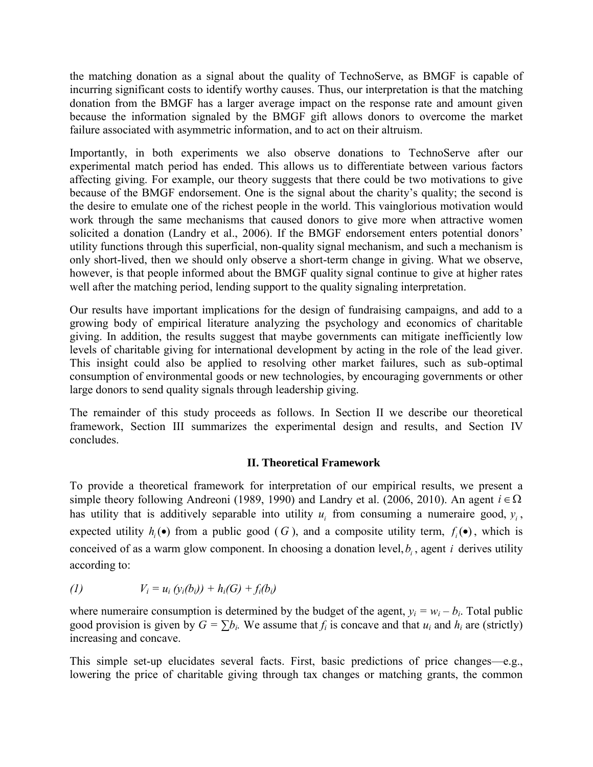the matching donation as a signal about the quality of TechnoServe, as BMGF is capable of incurring significant costs to identify worthy causes. Thus, our interpretation is that the matching donation from the BMGF has a larger average impact on the response rate and amount given because the information signaled by the BMGF gift allows donors to overcome the market failure associated with asymmetric information, and to act on their altruism.

Importantly, in both experiments we also observe donations to TechnoServe after our experimental match period has ended. This allows us to differentiate between various factors affecting giving. For example, our theory suggests that there could be two motivations to give because of the BMGF endorsement. One is the signal about the charity's quality; the second is the desire to emulate one of the richest people in the world. This vainglorious motivation would work through the same mechanisms that caused donors to give more when attractive women solicited a donation (Landry et al., 2006). If the BMGF endorsement enters potential donors' utility functions through this superficial, non-quality signal mechanism, and such a mechanism is only short-lived, then we should only observe a short-term change in giving. What we observe, however, is that people informed about the BMGF quality signal continue to give at higher rates well after the matching period, lending support to the quality signaling interpretation.

Our results have important implications for the design of fundraising campaigns, and add to a growing body of empirical literature analyzing the psychology and economics of charitable giving. In addition, the results suggest that maybe governments can mitigate inefficiently low levels of charitable giving for international development by acting in the role of the lead giver. This insight could also be applied to resolving other market failures, such as sub-optimal consumption of environmental goods or new technologies, by encouraging governments or other large donors to send quality signals through leadership giving.

The remainder of this study proceeds as follows. In Section II we describe our theoretical framework, Section III summarizes the experimental design and results, and Section IV concludes.

# **II. Theoretical Framework**

To provide a theoretical framework for interpretation of our empirical results, we present a simple theory following Andreoni (1989, 1990) and Landry et al. (2006, 2010). An agent  $i \in \Omega$ has utility that is additively separable into utility  $u_i$  from consuming a numeraire good,  $y_i$ , expected utility  $h_i(\bullet)$  from a public good (G), and a composite utility term,  $f_i(\bullet)$ , which is conceived of as a warm glow component. In choosing a donation level,  $b_i$ , agent *i* derives utility according to:

(1) 
$$
V_i = u_i (y_i(b_i)) + h_i(G) + f_i(b_i)
$$

where numeraire consumption is determined by the budget of the agent,  $y_i = w_i - b_i$ . Total public good provision is given by  $G = \sum b_i$ . We assume that  $f_i$  is concave and that  $u_i$  and  $h_i$  are (strictly) increasing and concave.

This simple set-up elucidates several facts. First, basic predictions of price changes—e.g., lowering the price of charitable giving through tax changes or matching grants, the common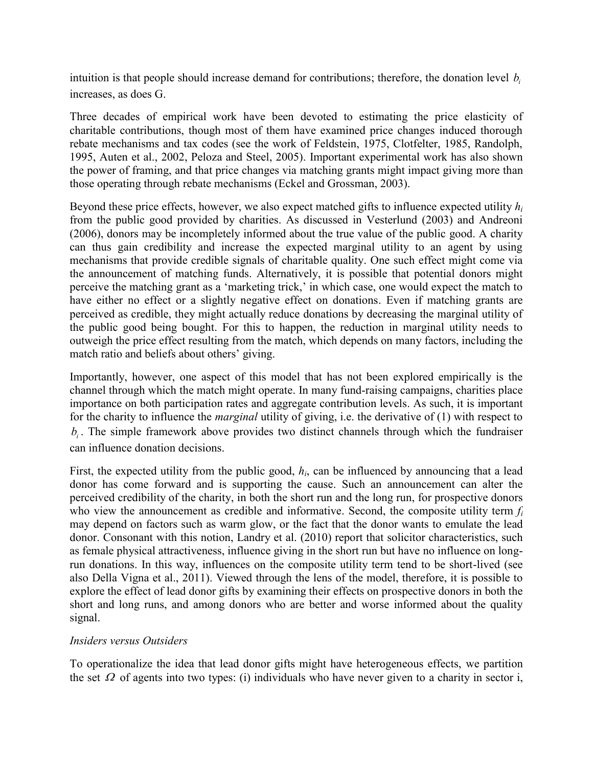intuition is that people should increase demand for contributions; therefore, the donation level  $b_i$ increases, as does G.

Three decades of empirical work have been devoted to estimating the price elasticity of charitable contributions, though most of them have examined price changes induced thorough rebate mechanisms and tax codes (see the work of Feldstein, 1975, Clotfelter, 1985, Randolph, 1995, Auten et al., 2002, Peloza and Steel, 2005). Important experimental work has also shown the power of framing, and that price changes via matching grants might impact giving more than those operating through rebate mechanisms (Eckel and Grossman, 2003).

Beyond these price effects, however, we also expect matched gifts to influence expected utility *h<sup>i</sup>* from the public good provided by charities. As discussed in Vesterlund (2003) and Andreoni (2006), donors may be incompletely informed about the true value of the public good. A charity can thus gain credibility and increase the expected marginal utility to an agent by using mechanisms that provide credible signals of charitable quality. One such effect might come via the announcement of matching funds. Alternatively, it is possible that potential donors might perceive the matching grant as a 'marketing trick,' in which case, one would expect the match to have either no effect or a slightly negative effect on donations. Even if matching grants are perceived as credible, they might actually reduce donations by decreasing the marginal utility of the public good being bought. For this to happen, the reduction in marginal utility needs to outweigh the price effect resulting from the match, which depends on many factors, including the match ratio and beliefs about others' giving.

Importantly, however, one aspect of this model that has not been explored empirically is the channel through which the match might operate. In many fund-raising campaigns, charities place importance on both participation rates and aggregate contribution levels. As such, it is important for the charity to influence the *marginal* utility of giving, i.e. the derivative of (1) with respect to  $b_i$ . The simple framework above provides two distinct channels through which the fundraiser can influence donation decisions.

First, the expected utility from the public good,  $h_i$ , can be influenced by announcing that a lead donor has come forward and is supporting the cause. Such an announcement can alter the perceived credibility of the charity, in both the short run and the long run, for prospective donors who view the announcement as credible and informative. Second, the composite utility term *f<sup>i</sup>* may depend on factors such as warm glow, or the fact that the donor wants to emulate the lead donor. Consonant with this notion, Landry et al. (2010) report that solicitor characteristics, such as female physical attractiveness, influence giving in the short run but have no influence on longrun donations. In this way, influences on the composite utility term tend to be short-lived (see also Della Vigna et al., 2011). Viewed through the lens of the model, therefore, it is possible to explore the effect of lead donor gifts by examining their effects on prospective donors in both the short and long runs, and among donors who are better and worse informed about the quality signal.

### *Insiders versus Outsiders*

To operationalize the idea that lead donor gifts might have heterogeneous effects, we partition the set  $\Omega$  of agents into two types: (i) individuals who have never given to a charity in sector i,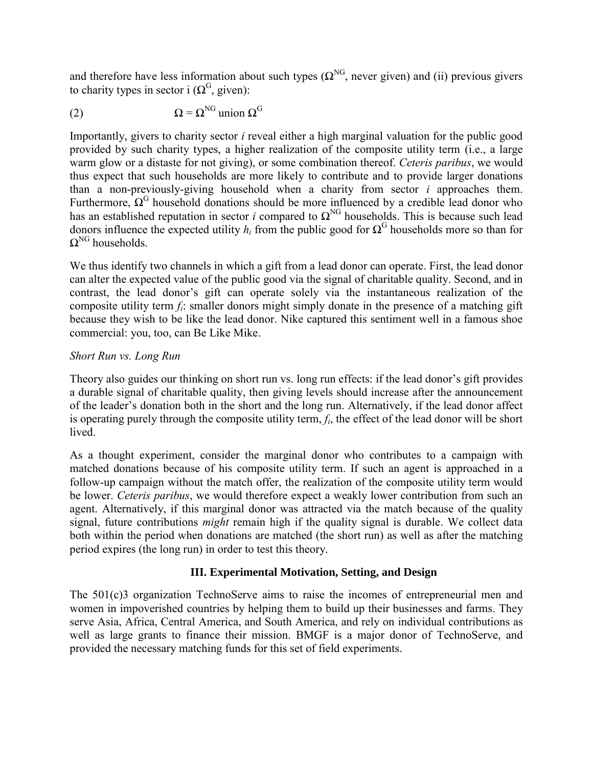and therefore have less information about such types  $(\Omega^{NG})$ , never given) and (ii) previous givers to charity types in sector i  $(\Omega^G, \text{given})$ :

(2) 
$$
\Omega = \Omega^{NG} \text{ union } \Omega^G
$$

Importantly, givers to charity sector *i* reveal either a high marginal valuation for the public good provided by such charity types, a higher realization of the composite utility term (i.e., a large warm glow or a distaste for not giving), or some combination thereof. *Ceteris paribus*, we would thus expect that such households are more likely to contribute and to provide larger donations than a non-previously-giving household when a charity from sector *i* approaches them. Furthermore,  $\Omega^G$  household donations should be more influenced by a credible lead donor who has an established reputation in sector *i* compared to  $\Omega^{NG}$  households. This is because such lead donors influence the expected utility  $h_i$  from the public good for  $\Omega^G$  households more so than for  $\Omega^{\rm NG}$  households.

We thus identify two channels in which a gift from a lead donor can operate. First, the lead donor can alter the expected value of the public good via the signal of charitable quality. Second, and in contrast, the lead donor's gift can operate solely via the instantaneous realization of the composite utility term *fi*: smaller donors might simply donate in the presence of a matching gift because they wish to be like the lead donor. Nike captured this sentiment well in a famous shoe commercial: you, too, can Be Like Mike.

# *Short Run vs. Long Run*

Theory also guides our thinking on short run vs. long run effects: if the lead donor's gift provides a durable signal of charitable quality, then giving levels should increase after the announcement of the leader's donation both in the short and the long run. Alternatively, if the lead donor affect is operating purely through the composite utility term,  $f_i$ , the effect of the lead donor will be short lived.

As a thought experiment, consider the marginal donor who contributes to a campaign with matched donations because of his composite utility term. If such an agent is approached in a follow-up campaign without the match offer, the realization of the composite utility term would be lower. *Ceteris paribus*, we would therefore expect a weakly lower contribution from such an agent. Alternatively, if this marginal donor was attracted via the match because of the quality signal, future contributions *might* remain high if the quality signal is durable. We collect data both within the period when donations are matched (the short run) as well as after the matching period expires (the long run) in order to test this theory.

# **III. Experimental Motivation, Setting, and Design**

The 501(c)3 organization TechnoServe aims to raise the incomes of entrepreneurial men and women in impoverished countries by helping them to build up their businesses and farms. They serve Asia, Africa, Central America, and South America, and rely on individual contributions as well as large grants to finance their mission. BMGF is a major donor of TechnoServe, and provided the necessary matching funds for this set of field experiments.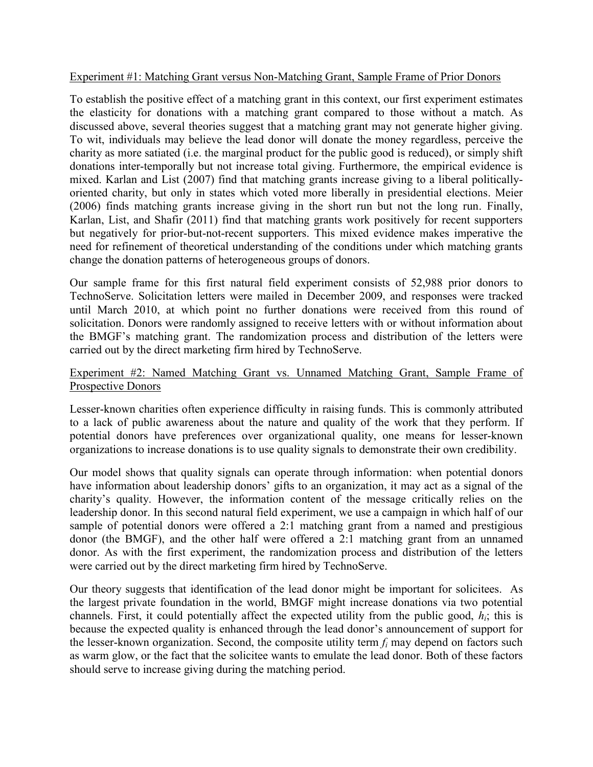### Experiment #1: Matching Grant versus Non-Matching Grant, Sample Frame of Prior Donors

To establish the positive effect of a matching grant in this context, our first experiment estimates the elasticity for donations with a matching grant compared to those without a match. As discussed above, several theories suggest that a matching grant may not generate higher giving. To wit, individuals may believe the lead donor will donate the money regardless, perceive the charity as more satiated (i.e. the marginal product for the public good is reduced), or simply shift donations inter-temporally but not increase total giving. Furthermore, the empirical evidence is mixed. Karlan and List (2007) find that matching grants increase giving to a liberal politicallyoriented charity, but only in states which voted more liberally in presidential elections. Meier (2006) finds matching grants increase giving in the short run but not the long run. Finally, Karlan, List, and Shafir (2011) find that matching grants work positively for recent supporters but negatively for prior-but-not-recent supporters. This mixed evidence makes imperative the need for refinement of theoretical understanding of the conditions under which matching grants change the donation patterns of heterogeneous groups of donors.

Our sample frame for this first natural field experiment consists of 52,988 prior donors to TechnoServe. Solicitation letters were mailed in December 2009, and responses were tracked until March 2010, at which point no further donations were received from this round of solicitation. Donors were randomly assigned to receive letters with or without information about the BMGF's matching grant. The randomization process and distribution of the letters were carried out by the direct marketing firm hired by TechnoServe.

### Experiment #2: Named Matching Grant vs. Unnamed Matching Grant, Sample Frame of Prospective Donors

Lesser-known charities often experience difficulty in raising funds. This is commonly attributed to a lack of public awareness about the nature and quality of the work that they perform. If potential donors have preferences over organizational quality, one means for lesser-known organizations to increase donations is to use quality signals to demonstrate their own credibility.

Our model shows that quality signals can operate through information: when potential donors have information about leadership donors' gifts to an organization, it may act as a signal of the charity's quality. However, the information content of the message critically relies on the leadership donor. In this second natural field experiment, we use a campaign in which half of our sample of potential donors were offered a 2:1 matching grant from a named and prestigious donor (the BMGF), and the other half were offered a 2:1 matching grant from an unnamed donor. As with the first experiment, the randomization process and distribution of the letters were carried out by the direct marketing firm hired by TechnoServe.

Our theory suggests that identification of the lead donor might be important for solicitees. As the largest private foundation in the world, BMGF might increase donations via two potential channels. First, it could potentially affect the expected utility from the public good, *hi*; this is because the expected quality is enhanced through the lead donor's announcement of support for the lesser-known organization. Second, the composite utility term  $f_i$  may depend on factors such as warm glow, or the fact that the solicitee wants to emulate the lead donor. Both of these factors should serve to increase giving during the matching period.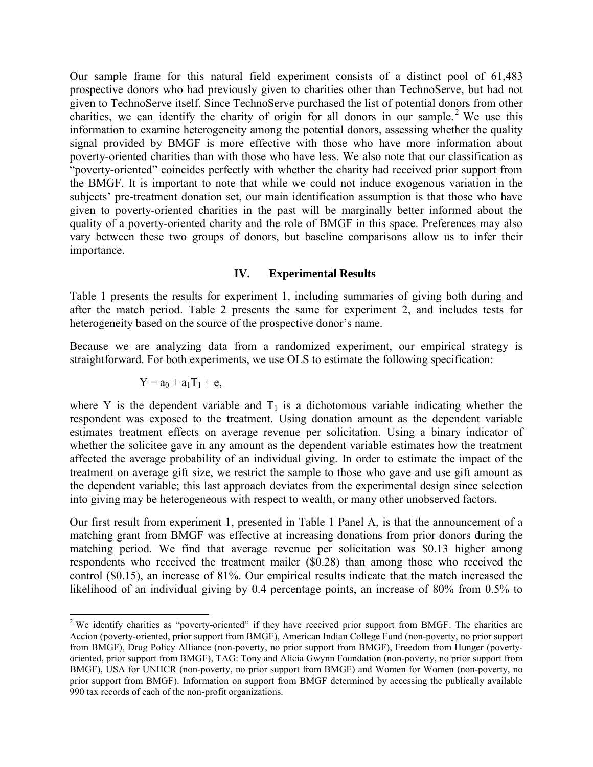Our sample frame for this natural field experiment consists of a distinct pool of 61,483 prospective donors who had previously given to charities other than TechnoServe, but had not given to TechnoServe itself. Since TechnoServe purchased the list of potential donors from other charities, we can identify the charity of origin for all donors in our sample.<sup>2</sup> We use this information to examine heterogeneity among the potential donors, assessing whether the quality signal provided by BMGF is more effective with those who have more information about poverty-oriented charities than with those who have less. We also note that our classification as "poverty-oriented" coincides perfectly with whether the charity had received prior support from the BMGF. It is important to note that while we could not induce exogenous variation in the subjects' pre-treatment donation set, our main identification assumption is that those who have given to poverty-oriented charities in the past will be marginally better informed about the quality of a poverty-oriented charity and the role of BMGF in this space. Preferences may also vary between these two groups of donors, but baseline comparisons allow us to infer their importance.

#### **IV. Experimental Results**

Table 1 presents the results for experiment 1, including summaries of giving both during and after the match period. Table 2 presents the same for experiment 2, and includes tests for heterogeneity based on the source of the prospective donor's name.

Because we are analyzing data from a randomized experiment, our empirical strategy is straightforward. For both experiments, we use OLS to estimate the following specification:

$$
Y = a_0 + a_1 T_1 + e,
$$

 $\overline{\phantom{a}}$ 

where Y is the dependent variable and  $T_1$  is a dichotomous variable indicating whether the respondent was exposed to the treatment. Using donation amount as the dependent variable estimates treatment effects on average revenue per solicitation. Using a binary indicator of whether the solicitee gave in any amount as the dependent variable estimates how the treatment affected the average probability of an individual giving. In order to estimate the impact of the treatment on average gift size, we restrict the sample to those who gave and use gift amount as the dependent variable; this last approach deviates from the experimental design since selection into giving may be heterogeneous with respect to wealth, or many other unobserved factors.

Our first result from experiment 1, presented in Table 1 Panel A, is that the announcement of a matching grant from BMGF was effective at increasing donations from prior donors during the matching period. We find that average revenue per solicitation was \$0.13 higher among respondents who received the treatment mailer (\$0.28) than among those who received the control (\$0.15), an increase of 81%. Our empirical results indicate that the match increased the likelihood of an individual giving by 0.4 percentage points, an increase of 80% from 0.5% to

<sup>&</sup>lt;sup>2</sup> We identify charities as "poverty-oriented" if they have received prior support from BMGF. The charities are Accion (poverty-oriented, prior support from BMGF), American Indian College Fund (non-poverty, no prior support from BMGF), Drug Policy Alliance (non-poverty, no prior support from BMGF), Freedom from Hunger (povertyoriented, prior support from BMGF), TAG: Tony and Alicia Gwynn Foundation (non-poverty, no prior support from BMGF), USA for UNHCR (non-poverty, no prior support from BMGF) and Women for Women (non-poverty, no prior support from BMGF). Information on support from BMGF determined by accessing the publically available 990 tax records of each of the non-profit organizations.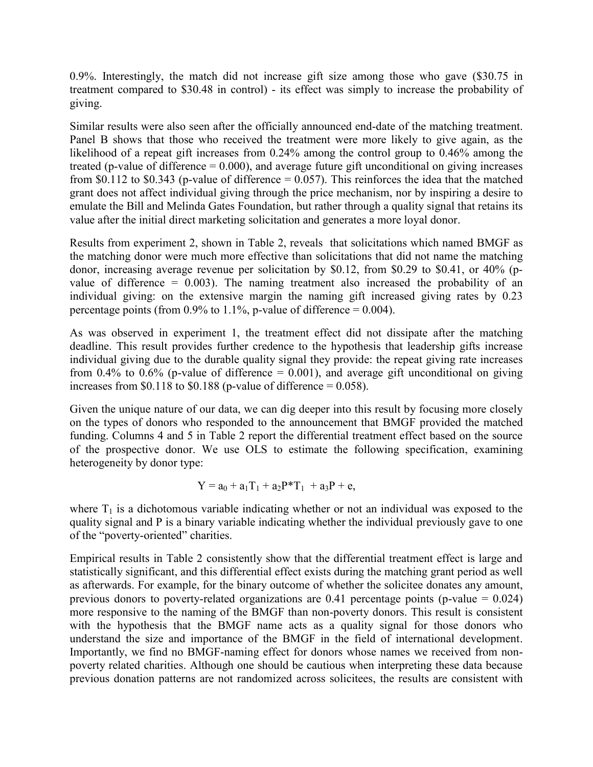0.9%. Interestingly, the match did not increase gift size among those who gave (\$30.75 in treatment compared to \$30.48 in control) - its effect was simply to increase the probability of giving.

Similar results were also seen after the officially announced end-date of the matching treatment. Panel B shows that those who received the treatment were more likely to give again, as the likelihood of a repeat gift increases from 0.24% among the control group to 0.46% among the treated (p-value of difference  $= 0.000$ ), and average future gift unconditional on giving increases from \$0.112 to \$0.343 (p-value of difference  $= 0.057$ ). This reinforces the idea that the matched grant does not affect individual giving through the price mechanism, nor by inspiring a desire to emulate the Bill and Melinda Gates Foundation, but rather through a quality signal that retains its value after the initial direct marketing solicitation and generates a more loyal donor.

Results from experiment 2, shown in Table 2, reveals that solicitations which named BMGF as the matching donor were much more effective than solicitations that did not name the matching donor, increasing average revenue per solicitation by \$0.12, from \$0.29 to \$0.41, or 40% (pvalue of difference  $= 0.003$ ). The naming treatment also increased the probability of an individual giving: on the extensive margin the naming gift increased giving rates by 0.23 percentage points (from  $0.9\%$  to 1.1%, p-value of difference = 0.004).

As was observed in experiment 1, the treatment effect did not dissipate after the matching deadline. This result provides further credence to the hypothesis that leadership gifts increase individual giving due to the durable quality signal they provide: the repeat giving rate increases from 0.4% to 0.6% (p-value of difference  $= 0.001$ ), and average gift unconditional on giving increases from  $$0.118$  to  $$0.188$  (p-value of difference = 0.058).

Given the unique nature of our data, we can dig deeper into this result by focusing more closely on the types of donors who responded to the announcement that BMGF provided the matched funding. Columns 4 and 5 in Table 2 report the differential treatment effect based on the source of the prospective donor. We use OLS to estimate the following specification, examining heterogeneity by donor type:

$$
Y = a_0 + a_1 T_1 + a_2 P^* T_1 + a_3 P + e,
$$

where  $T_1$  is a dichotomous variable indicating whether or not an individual was exposed to the quality signal and P is a binary variable indicating whether the individual previously gave to one of the "poverty-oriented" charities.

Empirical results in Table 2 consistently show that the differential treatment effect is large and statistically significant, and this differential effect exists during the matching grant period as well as afterwards. For example, for the binary outcome of whether the solicitee donates any amount, previous donors to poverty-related organizations are  $0.41$  percentage points (p-value =  $0.024$ ) more responsive to the naming of the BMGF than non-poverty donors. This result is consistent with the hypothesis that the BMGF name acts as a quality signal for those donors who understand the size and importance of the BMGF in the field of international development. Importantly, we find no BMGF-naming effect for donors whose names we received from nonpoverty related charities. Although one should be cautious when interpreting these data because previous donation patterns are not randomized across solicitees, the results are consistent with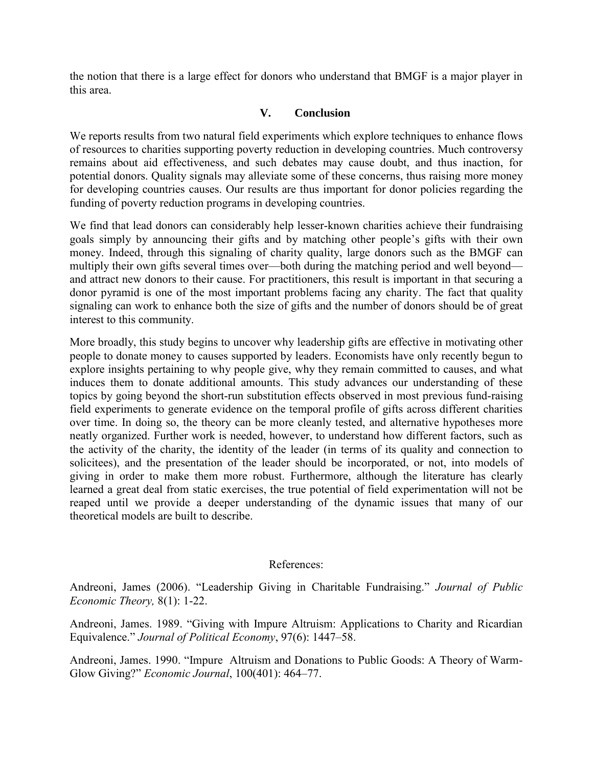the notion that there is a large effect for donors who understand that BMGF is a major player in this area.

### **V. Conclusion**

We reports results from two natural field experiments which explore techniques to enhance flows of resources to charities supporting poverty reduction in developing countries. Much controversy remains about aid effectiveness, and such debates may cause doubt, and thus inaction, for potential donors. Quality signals may alleviate some of these concerns, thus raising more money for developing countries causes. Our results are thus important for donor policies regarding the funding of poverty reduction programs in developing countries.

We find that lead donors can considerably help lesser-known charities achieve their fundraising goals simply by announcing their gifts and by matching other people's gifts with their own money. Indeed, through this signaling of charity quality, large donors such as the BMGF can multiply their own gifts several times over—both during the matching period and well beyond and attract new donors to their cause. For practitioners, this result is important in that securing a donor pyramid is one of the most important problems facing any charity. The fact that quality signaling can work to enhance both the size of gifts and the number of donors should be of great interest to this community.

More broadly, this study begins to uncover why leadership gifts are effective in motivating other people to donate money to causes supported by leaders. Economists have only recently begun to explore insights pertaining to why people give, why they remain committed to causes, and what induces them to donate additional amounts. This study advances our understanding of these topics by going beyond the short-run substitution effects observed in most previous fund-raising field experiments to generate evidence on the temporal profile of gifts across different charities over time. In doing so, the theory can be more cleanly tested, and alternative hypotheses more neatly organized. Further work is needed, however, to understand how different factors, such as the activity of the charity, the identity of the leader (in terms of its quality and connection to solicitees), and the presentation of the leader should be incorporated, or not, into models of giving in order to make them more robust. Furthermore, although the literature has clearly learned a great deal from static exercises, the true potential of field experimentation will not be reaped until we provide a deeper understanding of the dynamic issues that many of our theoretical models are built to describe.

### References:

Andreoni, James (2006). "Leadership Giving in Charitable Fundraising." *Journal of Public Economic Theory,* 8(1): 1-22.

Andreoni, James. 1989. "Giving with Impure Altruism: Applications to Charity and Ricardian Equivalence." *Journal of Political Economy*, 97(6): 1447–58.

Andreoni, James. 1990. "Impure Altruism and Donations to Public Goods: A Theory of Warm-Glow Giving?" *Economic Journal*, 100(401): 464–77.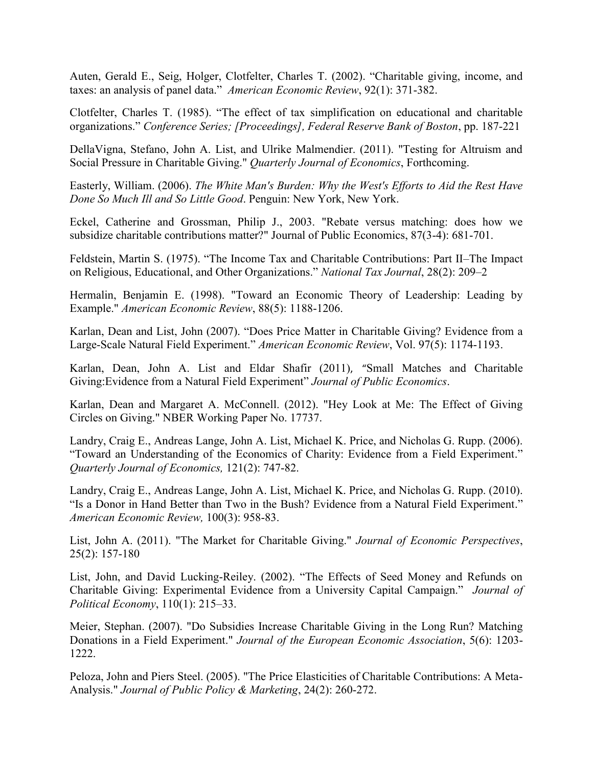Auten, Gerald E., Seig, Holger, Clotfelter, Charles T. (2002). "Charitable giving, income, and taxes: an analysis of panel data." *American Economic Review*, 92(1): 371-382.

Clotfelter, Charles T. (1985). "The effect of tax simplification on educational and charitable organizations." *Conference Series; [Proceedings], Federal Reserve Bank of Boston*, pp. 187-221

DellaVigna, Stefano, John A. List, and Ulrike Malmendier. (2011). "Testing for Altruism and Social Pressure in Charitable Giving." *Quarterly Journal of Economics*, Forthcoming.

Easterly, William. (2006). *The White Man's Burden: Why the West's Efforts to Aid the Rest Have Done So Much Ill and So Little Good*. Penguin: New York, New York.

Eckel, Catherine and Grossman, Philip J., 2003. "Rebate versus matching: does how we subsidize charitable contributions matter?" Journal of Public Economics, 87(3-4): 681-701.

Feldstein, Martin S. (1975). "The Income Tax and Charitable Contributions: Part II–The Impact on Religious, Educational, and Other Organizations." *National Tax Journal*, 28(2): 209–2

Hermalin, Benjamin E. (1998). "Toward an Economic Theory of Leadership: Leading by Example." *American Economic Review*, 88(5): 1188-1206.

Karlan, Dean and List, John (2007). "Does Price Matter in Charitable Giving? Evidence from a Large-Scale Natural Field Experiment." *American Economic Review*, Vol. 97(5): 1174-1193.

Karlan, Dean, John A. List and Eldar Shafir (2011), "Small Matches and Charitable Giving:Evidence from a Natural Field Experiment" *Journal of Public Economics*.

Karlan, Dean and Margaret A. McConnell. (2012). "Hey Look at Me: The Effect of Giving Circles on Giving." NBER Working Paper No. 17737.

Landry, Craig E., Andreas Lange, John A. List, Michael K. Price, and Nicholas G. Rupp. (2006). "Toward an Understanding of the Economics of Charity: Evidence from a Field Experiment." *Quarterly Journal of Economics,* 121(2): 747-82.

Landry, Craig E., Andreas Lange, John A. List, Michael K. Price, and Nicholas G. Rupp. (2010). "Is a Donor in Hand Better than Two in the Bush? Evidence from a Natural Field Experiment." *American Economic Review,* 100(3): 958-83.

List, John A. (2011). "The Market for Charitable Giving." *Journal of Economic Perspectives*, 25(2): 157-180

List, John, and David Lucking-Reiley. (2002). "The Effects of Seed Money and Refunds on Charitable Giving: Experimental Evidence from a University Capital Campaign." *Journal of Political Economy*, 110(1): 215–33.

Meier, Stephan. (2007). "Do Subsidies Increase Charitable Giving in the Long Run? Matching Donations in a Field Experiment." *Journal of the European Economic Association*, 5(6): 1203- 1222.

Peloza, John and Piers Steel. (2005). "The Price Elasticities of Charitable Contributions: A Meta-Analysis." *Journal of Public Policy & Marketing*, 24(2): 260-272.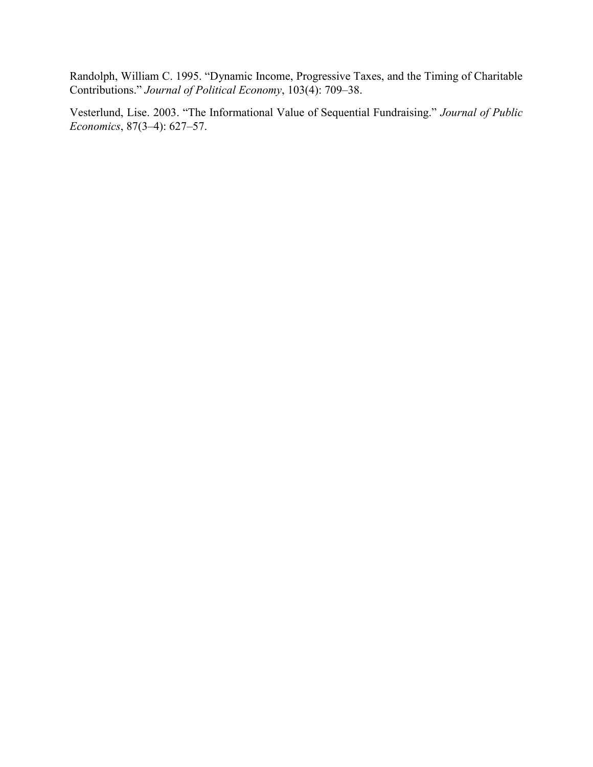Randolph, William C. 1995. "Dynamic Income, Progressive Taxes, and the Timing of Charitable Contributions." *Journal of Political Economy*, 103(4): 709–38.

Vesterlund, Lise. 2003. "The Informational Value of Sequential Fundraising." *Journal of Public Economics*, 87(3–4): 627–57.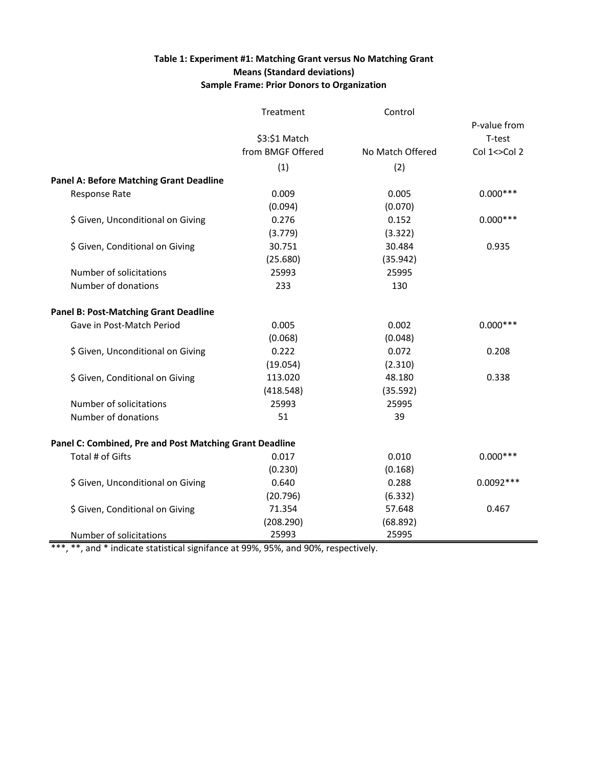# **Table 1: Experiment #1: Matching Grant versus No Matching Grant Means (Standard deviations) Sample Frame: Prior Donors to Organization**

|                                                         | Treatment<br>Control |                  |              |  |  |  |  |
|---------------------------------------------------------|----------------------|------------------|--------------|--|--|--|--|
|                                                         |                      |                  | P-value from |  |  |  |  |
|                                                         | \$3:\$1 Match        |                  | T-test       |  |  |  |  |
|                                                         | from BMGF Offered    | No Match Offered | Col 1<>Col 2 |  |  |  |  |
|                                                         | (1)                  | (2)              |              |  |  |  |  |
| <b>Panel A: Before Matching Grant Deadline</b>          |                      |                  |              |  |  |  |  |
| Response Rate                                           | 0.009                | 0.005            | $0.000***$   |  |  |  |  |
|                                                         | (0.094)              | (0.070)          |              |  |  |  |  |
| \$ Given, Unconditional on Giving                       | 0.276                | 0.152            | $0.000***$   |  |  |  |  |
|                                                         | (3.779)              | (3.322)          |              |  |  |  |  |
| \$ Given, Conditional on Giving                         | 30.751               | 30.484           | 0.935        |  |  |  |  |
|                                                         | (25.680)             | (35.942)         |              |  |  |  |  |
| Number of solicitations                                 | 25993                | 25995            |              |  |  |  |  |
| Number of donations                                     | 233                  | 130              |              |  |  |  |  |
| <b>Panel B: Post-Matching Grant Deadline</b>            |                      |                  |              |  |  |  |  |
| Gave in Post-Match Period                               | 0.005                | 0.002            | $0.000***$   |  |  |  |  |
|                                                         | (0.068)              | (0.048)          |              |  |  |  |  |
| \$ Given, Unconditional on Giving                       | 0.222                | 0.072            | 0.208        |  |  |  |  |
|                                                         | (19.054)             | (2.310)          |              |  |  |  |  |
| \$ Given, Conditional on Giving                         | 113.020              | 48.180           | 0.338        |  |  |  |  |
|                                                         | (418.548)            | (35.592)         |              |  |  |  |  |
| Number of solicitations                                 | 25993                | 25995            |              |  |  |  |  |
| Number of donations                                     | 51                   | 39               |              |  |  |  |  |
| Panel C: Combined, Pre and Post Matching Grant Deadline |                      |                  |              |  |  |  |  |
| Total # of Gifts                                        | 0.017                | 0.010            | $0.000***$   |  |  |  |  |
|                                                         | (0.230)              | (0.168)          |              |  |  |  |  |
| \$ Given, Unconditional on Giving                       | 0.640                | 0.288            | $0.0092***$  |  |  |  |  |
|                                                         | (20.796)             | (6.332)          |              |  |  |  |  |
| \$ Given, Conditional on Giving                         | 71.354               | 57.648           | 0.467        |  |  |  |  |
|                                                         | (208.290)            | (68.892)         |              |  |  |  |  |
| Number of solicitations                                 | 25993                | 25995            |              |  |  |  |  |

\*\*\*, \*\*, and \* indicate statistical signifance at 99%, 95%, and 90%, respectively.